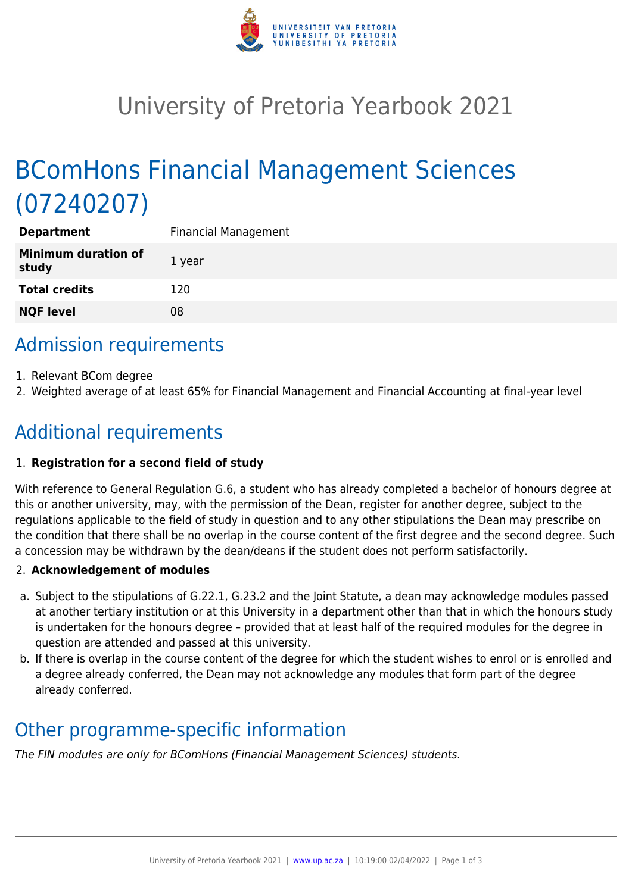

## University of Pretoria Yearbook 2021

# BComHons Financial Management Sciences (07240207)

| <b>Department</b>                   | <b>Financial Management</b> |
|-------------------------------------|-----------------------------|
| <b>Minimum duration of</b><br>study | 1 year                      |
| <b>Total credits</b>                | 120                         |
| <b>NQF level</b>                    | 08                          |
|                                     |                             |

### Admission requirements

- 1. Relevant BCom degree
- 2. Weighted average of at least 65% for Financial Management and Financial Accounting at final-year level

## Additional requirements

#### 1. **Registration for a second field of study**

With reference to General Regulation G.6, a student who has already completed a bachelor of honours degree at this or another university, may, with the permission of the Dean, register for another degree, subject to the regulations applicable to the field of study in question and to any other stipulations the Dean may prescribe on the condition that there shall be no overlap in the course content of the first degree and the second degree. Such a concession may be withdrawn by the dean/deans if the student does not perform satisfactorily.

#### 2. **Acknowledgement of modules**

- a. Subject to the stipulations of G.22.1, G.23.2 and the Joint Statute, a dean may acknowledge modules passed at another tertiary institution or at this University in a department other than that in which the honours study is undertaken for the honours degree – provided that at least half of the required modules for the degree in question are attended and passed at this university.
- b. If there is overlap in the course content of the degree for which the student wishes to enrol or is enrolled and a degree already conferred, the Dean may not acknowledge any modules that form part of the degree already conferred.

### Other programme-specific information

The FIN modules are only for BComHons (Financial Management Sciences) students.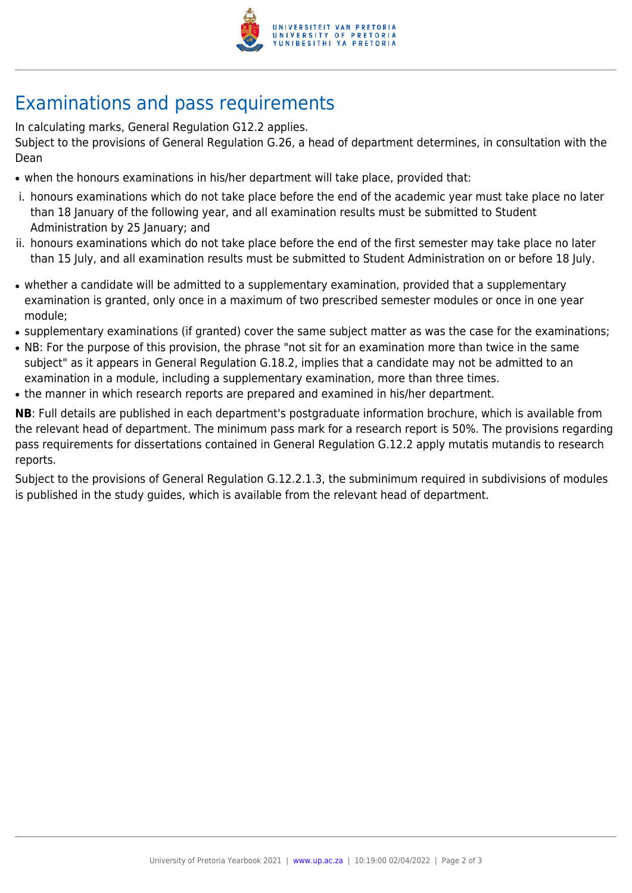

## Examinations and pass requirements

In calculating marks, General Regulation G12.2 applies.

Subject to the provisions of General Regulation G.26, a head of department determines, in consultation with the Dean

- when the honours examinations in his/her department will take place, provided that:
- i. honours examinations which do not take place before the end of the academic year must take place no later than 18 January of the following year, and all examination results must be submitted to Student Administration by 25 January; and
- ii. honours examinations which do not take place before the end of the first semester may take place no later than 15 July, and all examination results must be submitted to Student Administration on or before 18 July.
- whether a candidate will be admitted to a supplementary examination, provided that a supplementary examination is granted, only once in a maximum of two prescribed semester modules or once in one year module;
- supplementary examinations (if granted) cover the same subject matter as was the case for the examinations;
- NB: For the purpose of this provision, the phrase "not sit for an examination more than twice in the same subject" as it appears in General Regulation G.18.2, implies that a candidate may not be admitted to an examination in a module, including a supplementary examination, more than three times.
- the manner in which research reports are prepared and examined in his/her department.

**NB**: Full details are published in each department's postgraduate information brochure, which is available from the relevant head of department. The minimum pass mark for a research report is 50%. The provisions regarding pass requirements for dissertations contained in General Regulation G.12.2 apply mutatis mutandis to research reports.

Subject to the provisions of General Regulation G.12.2.1.3, the subminimum required in subdivisions of modules is published in the study guides, which is available from the relevant head of department.